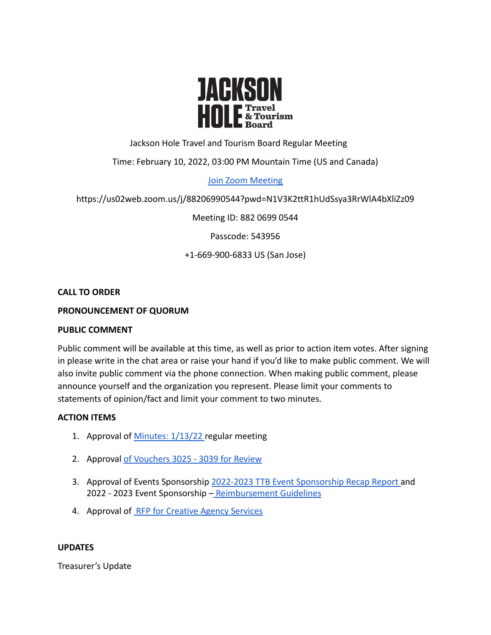

# Jackson Hole Travel and Tourism Board Regular Meeting

# Time: February 10, 2022, 03:00 PM Mountain Time (US and Canada)

## [Join Zoom Meeting](https://us02web.zoom.us/j/88206990544?pwd=N1V3K2ttR1hUdSsya3RrWlA4bXliZz09)

## https://us02web.zoom.us/j/88206990544?pwd=N1V3K2ttR1hUdSsya3RrWlA4bXliZz09

Meeting ID: 882 0699 0544

Passcode: 543956

## +1-669-900-6833 US (San Jose)

#### **CALL TO ORDER**

## **PRONOUNCEMENT OF QUORUM**

#### **PUBLIC COMMENT**

Public comment will be available at this time, as well as prior to action item votes. After signing in please write in the chat area or raise your hand if you'd like to make public comment. We will also invite public comment via the phone connection. When making public comment, please announce yourself and the organization you represent. Please limit your comments to statements of opinion/fact and limit your comment to two minutes.

## **ACTION ITEMS**

- 1. Approval of [Minutes: 1/13/22](https://www.tetoncountywy.gov/DocumentCenter/View/21223/Jan-13-2022-Minutes-) regular meeting
- 2. Approval [of Vouchers 3025 3039 for Review](https://www.tetoncountywy.gov/DocumentCenter/View/21250/2022-02-JHTTJPB-Vouchers-3025-to-3039-Summary)
- 3. Approval of Events Sponsorship 2022-2023 TTB Event [Sponsorship Recap Report](https://www.tetoncountywy.gov/DocumentCenter/View/21225/22-23-TTB-Event-Sponsorship-Recap-Report---Google-Forms) and 2022 - 2023 Event Sponsorship – [Reimbursement Guidelines](https://www.tetoncountywy.gov/DocumentCenter/View/21226/22-23-Reimbursement-_-YOY-Changes-Highlighted)
- 4. Approval of [RFP for Creative Agency Services](https://www.tetoncountywy.gov/DocumentCenter/View/21249/RFP-Creative-Agency-Services-JHTTB-2022docx)

#### **UPDATES**

Treasurer's Update